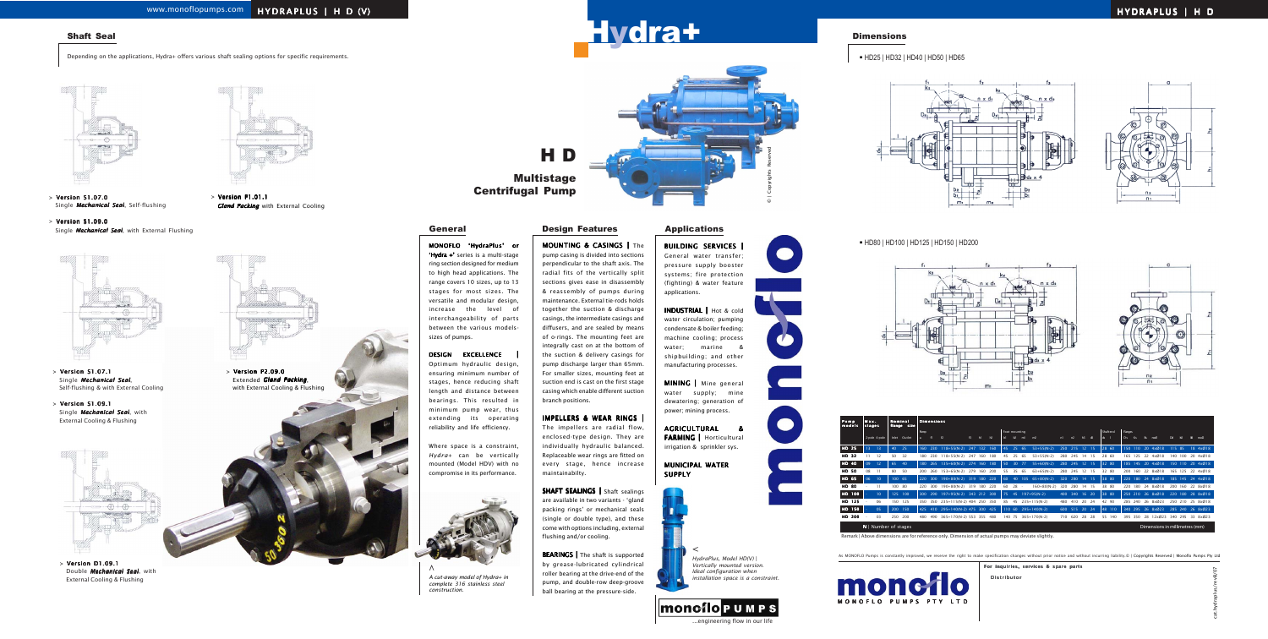# Hydra+

H D

## **Multistage** Centrifugal Pump

BUILDING SERVICES | General water transfer; pressure supply booster systems; fire protection (fighting) & water feature applications.

INDUSTRIAL | Hot & cold water circulation; pumping condensate & boiler feeding; machine cooling; process water; marine & shipbuilding; and other manufacturing processes.

MINING | Mine general water supply; mine dewatering; generation of power; mining process.

AGRICULTURAL & FARMING | Horticultural irrigation & sprinkler sys.

MUNICIPAL WATER

## SUPPLY





MONOFLO 'HydraPlus' or 'Hydra +' series is a multi-stage ring section designed for medium to high head applications. The range covers 10 sizes, up to 13 stages for most sizes. The versatile and modular design, increase the level of interchangeability of parts between the various modelssizes of pumps.

## DESIGN EXCELLENCE |

Optimum hydraulic design, ensuring minimum number of stages, hence reducing shaft length and distance between bearings. This resulted in minimum pump wear, thus extending its operating reliability and life efficiency.

> SHAFT SEALINGS | Shaft sealings are available in two variants - 'gland packing rings' or mechanical seals (single or double type), and these come with options including, external flushing and/or cooling.

Where space is a constraint, *Hydra+* can be vertically mounted (Model HDV) with no compromise in its performance.

**BEARINGS** | The shaft is supported by grease-lubricated cylindrical roller bearing at the drive-end of the pump, and double-row deep-groove ball bearing at the pressure-side. *A cut-away model of Hydra+ in installation space is a constraint.*



**Dimensions** 

## MOUNTING & CASINGS | The pump casing is divided into sections perpendicular to the shaft axis. The radial fits of the vertically split sections gives ease in disassembly & reassembly of pumps during maintenance. External tie-rods holds together the suction & discharge casings, the intermediate casings and diffusers, and are sealed by means of o-rings. The mounting feet are integrally cast on at the bottom of the suction & delivery casings for pump discharge larger than 65mm. For smaller sizes, mounting feet at suction end is cast on the first stage

casing which enable different suction branch positions.

## IMPELLERS & WEAR RINGS |

The impellers are radial flow, enclosed-type design. They are individually hydraulic balanced. Replaceable wear rings are fitted on every stage, hence increase maintainabilty.



*complete 316 stainless steel construction.* **>**

## General **Design Features Applications**

HD25 | HD32 | HD40 | HD50 | HD65





HD80 | HD100 | HD125 | HD150 | HD200





| Pump<br>models | Max.<br>stages                                           |                 | <b>Nominal</b><br>flange size |        |                | <b>Dimensions</b> |                                  |     |     |     |               |              |     |                     |     |               |           |      |               |         |     |         |    |          |        |         |  |                  |
|----------------|----------------------------------------------------------|-----------------|-------------------------------|--------|----------------|-------------------|----------------------------------|-----|-----|-----|---------------|--------------|-----|---------------------|-----|---------------|-----------|------|---------------|---------|-----|---------|----|----------|--------|---------|--|------------------|
|                |                                                          |                 |                               |        |                | <b>Rump</b>       |                                  |     |     |     | Foot mounting |              |     |                     |     |               | Shaft end |      |               | Flanges |     |         |    |          |        |         |  |                  |
|                |                                                          | 2-pole 4-pole   | Inlet                         | Outlet | $\overline{a}$ | f1                | f2                               | f3  | hl  | h2  | b1            | b2           | ml  | m <sub>2</sub>      | n1  | n2            | h3        | ්රී  | $\frac{1}{2}$ |         | Ds  | Ks      | Bs | nxd1     | Dd.    | К       |  | nxd <sub>2</sub> |
| HD 25          | 13                                                       | 13              | 40                            | 25     | 160            | 230               | 118+55(N-2) 247 132 160          |     |     |     | 45            | 25           | 65  | $53+55(N-2)$        |     | 250 215 12 15 |           |      |               | 28 60   |     | 150 110 |    | 20 4x018 | 115 85 |         |  | 18 4x018         |
| HD 32          |                                                          | 12              | 50                            | 32     | 180            | 230               | $118 + 55(N-2)$                  | 247 | 160 | 180 | 45            | 25           | 65  | $53+55(N-2)$        | 280 | 245           | 14 15     |      |               | 28 60   | 165 | 125     |    | 22 4x018 |        | 140 100 |  | 20 4xØ18         |
| HD 40          | 09                                                       | 12              | 65                            | 40     | 180            | 265               | 135+60(N-2) 274 160 180          |     |     |     | 50            | $30^{\circ}$ | 77  | $55+60(N-2)$        |     | 280 245 12 15 |           |      |               | 32 80   |     | 185 145 |    | 20 4xØ18 |        |         |  | 150 110 20 4x018 |
| HD 50          | 08                                                       | 11              | 80                            | 50     | 200            | 260               | 153+65(N-2) 279                  |     | 160 | 200 | 55            | 35           | 65  | $63+65(N-2)$        | 280 | 245           | 12 15     |      |               | 32 80   | 200 | 160     |    | 22 8xØ18 |        | 165 125 |  | 22 4x018         |
| HD 65          | 06                                                       | 10              | 100 65                        |        | 220            | 300               | 190+80(N-2) 319 180 220          |     |     |     | 60            | 40           | 105 | $65+80(N-2)$        |     | 320 280 14 15 |           |      |               | 38 80   | 220 | 180     |    | 24 8x018 |        |         |  | 185 145 24 4x018 |
| <b>HD 80</b>   |                                                          | 11              | 100 80                        |        | 220            | 300               | 190+80(N-2) 319 180 220          |     |     |     | 60            | 28           | . . | $160+80(N-2)$       | 320 | 280           | 14 15     |      |               | 38 80   | 220 | 180     | 24 | 8xØ18    |        | 200 160 |  | 22 8xØ18         |
| HD 100         |                                                          | 10 <sup>°</sup> | 125 100                       |        | 300            | 290               | 197+95(N-2) 343 212 300          |     |     |     | 75            | 45           |     | $197+95(N-2)$       | 400 | 340 16 20     |           |      | 38 80         |         |     | 250 210 |    | 26 8xØ18 |        |         |  | 220 180 28 8x018 |
| HD 125         |                                                          | 06              | 150                           | 125    | 350            | 350               | 235+115(N-2) 404 250 350         |     |     |     | 85            | 45           |     | $235+115(N-2)$      | 480 | 410           | 20        | - 24 |               | 42 90   | 285 | 240     |    | 26 8x023 |        | 250 210 |  | 25 8xØ18         |
| HD 150         |                                                          | 05              | 200 150                       |        |                |                   | 425 410 295+140(N-2) 475 300 425 |     |     |     |               |              |     | 110 60 295+140(N-2) |     | 600 515 20 24 |           |      |               | 48 110  |     | 340 295 |    | 26 8x023 |        |         |  | 285 240 26 8x023 |
| HD 200         |                                                          | 03              | 250                           | 200    | 480            | 490               | 365+170(N-2) 553 355             |     |     | 480 |               | 140 75       |     | 365+170(N-2)        | 710 | 620           | 28        | -28  |               | 55 140  | 395 | 350     | 28 | 12x023   | 340    | 295     |  | 33 8x023         |
|                | $N$   Number of stages<br>Dimensions in millimetres (mm) |                 |                               |        |                |                   |                                  |     |     |     |               |              |     |                     |     |               |           |      |               |         |     |         |    |          |        |         |  |                  |

Distributor

For inquiries, services & spare parts

cat.hydraplus/revB/07

Remark | Above dimensions are for reference only. Dimension of actual pumps may deviate slightly.

MONOFLO PUMPS PTY LTD

moncflo

As MONOFLO Pumps is constantly improved, we reserve the right to make specification changes without prior notice and without incurring liability.© | Copyrights Reserved | Monoflo Pumps Pty Ltd

Shaft Seal

Depending on the applications, Hydra+ offers various shaft sealing options for specific requirements.





- <sup>&</sup>gt; Version S1.07.1 Single *Mechanical Seal*, Self-flushing & with External Cooling
- <sup>&</sup>gt; Version S1.09.1 Single *Mechanical Seal*, with External Cooling & Flushing



- <sup>&</sup>gt; Version S1.07.0 Single *Mechanical Seal*, Self-flushing
- > Version S1.09.0 Single *Mechanical Seal*, with External Flushing



<sup>&</sup>gt; Version D1.09.1 Double *Mechanical Seal*, with External Cooling & Flushing

> Version P1.01.1

*Gland Packing* with External Cooling

> Version P2.09.0 Extended *Gland Packing*, with External Cooling & Flushing